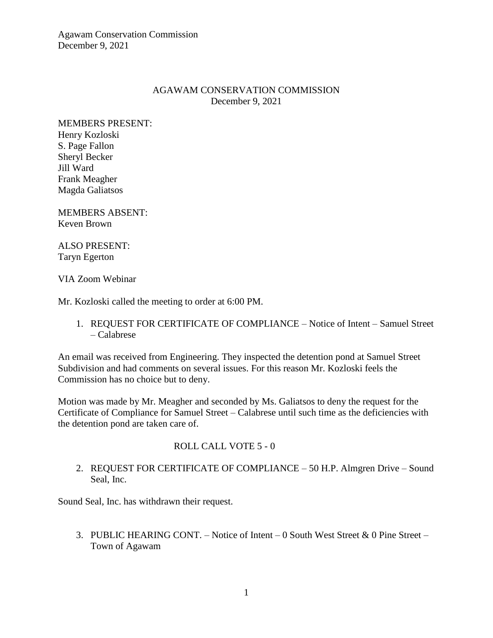Agawam Conservation Commission December 9, 2021

### AGAWAM CONSERVATION COMMISSION December 9, 2021

MEMBERS PRESENT: Henry Kozloski S. Page Fallon Sheryl Becker Jill Ward Frank Meagher Magda Galiatsos

MEMBERS ABSENT: Keven Brown

ALSO PRESENT: Taryn Egerton

VIA Zoom Webinar

Mr. Kozloski called the meeting to order at 6:00 PM.

1. REQUEST FOR CERTIFICATE OF COMPLIANCE – Notice of Intent – Samuel Street – Calabrese

An email was received from Engineering. They inspected the detention pond at Samuel Street Subdivision and had comments on several issues. For this reason Mr. Kozloski feels the Commission has no choice but to deny.

Motion was made by Mr. Meagher and seconded by Ms. Galiatsos to deny the request for the Certificate of Compliance for Samuel Street – Calabrese until such time as the deficiencies with the detention pond are taken care of.

# ROLL CALL VOTE 5 - 0

2. REQUEST FOR CERTIFICATE OF COMPLIANCE – 50 H.P. Almgren Drive – Sound Seal, Inc.

Sound Seal, Inc. has withdrawn their request.

3. PUBLIC HEARING CONT. – Notice of Intent – 0 South West Street & 0 Pine Street – Town of Agawam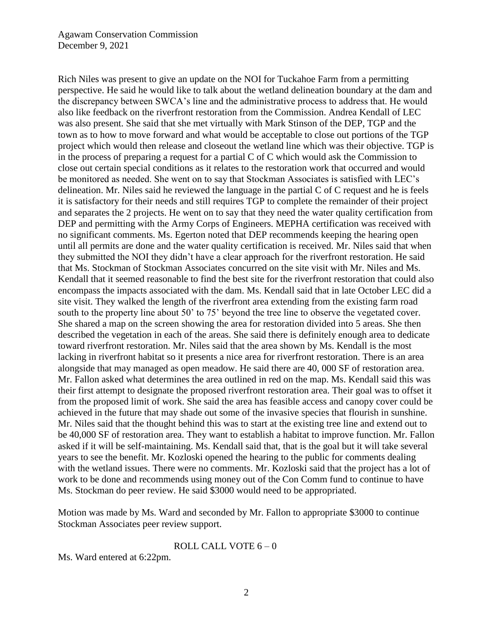Rich Niles was present to give an update on the NOI for Tuckahoe Farm from a permitting perspective. He said he would like to talk about the wetland delineation boundary at the dam and the discrepancy between SWCA's line and the administrative process to address that. He would also like feedback on the riverfront restoration from the Commission. Andrea Kendall of LEC was also present. She said that she met virtually with Mark Stinson of the DEP, TGP and the town as to how to move forward and what would be acceptable to close out portions of the TGP project which would then release and closeout the wetland line which was their objective. TGP is in the process of preparing a request for a partial C of C which would ask the Commission to close out certain special conditions as it relates to the restoration work that occurred and would be monitored as needed. She went on to say that Stockman Associates is satisfied with LEC's delineation. Mr. Niles said he reviewed the language in the partial C of C request and he is feels it is satisfactory for their needs and still requires TGP to complete the remainder of their project and separates the 2 projects. He went on to say that they need the water quality certification from DEP and permitting with the Army Corps of Engineers. MEPHA certification was received with no significant comments. Ms. Egerton noted that DEP recommends keeping the hearing open until all permits are done and the water quality certification is received. Mr. Niles said that when they submitted the NOI they didn't have a clear approach for the riverfront restoration. He said that Ms. Stockman of Stockman Associates concurred on the site visit with Mr. Niles and Ms. Kendall that it seemed reasonable to find the best site for the riverfront restoration that could also encompass the impacts associated with the dam. Ms. Kendall said that in late October LEC did a site visit. They walked the length of the riverfront area extending from the existing farm road south to the property line about 50' to 75' beyond the tree line to observe the vegetated cover. She shared a map on the screen showing the area for restoration divided into 5 areas. She then described the vegetation in each of the areas. She said there is definitely enough area to dedicate toward riverfront restoration. Mr. Niles said that the area shown by Ms. Kendall is the most lacking in riverfront habitat so it presents a nice area for riverfront restoration. There is an area alongside that may managed as open meadow. He said there are 40, 000 SF of restoration area. Mr. Fallon asked what determines the area outlined in red on the map. Ms. Kendall said this was their first attempt to designate the proposed riverfront restoration area. Their goal was to offset it from the proposed limit of work. She said the area has feasible access and canopy cover could be achieved in the future that may shade out some of the invasive species that flourish in sunshine. Mr. Niles said that the thought behind this was to start at the existing tree line and extend out to be 40,000 SF of restoration area. They want to establish a habitat to improve function. Mr. Fallon asked if it will be self-maintaining. Ms. Kendall said that, that is the goal but it will take several years to see the benefit. Mr. Kozloski opened the hearing to the public for comments dealing with the wetland issues. There were no comments. Mr. Kozloski said that the project has a lot of work to be done and recommends using money out of the Con Comm fund to continue to have Ms. Stockman do peer review. He said \$3000 would need to be appropriated.

Motion was made by Ms. Ward and seconded by Mr. Fallon to appropriate \$3000 to continue Stockman Associates peer review support.

#### ROLL CALL VOTE  $6 - 0$

Ms. Ward entered at 6:22pm.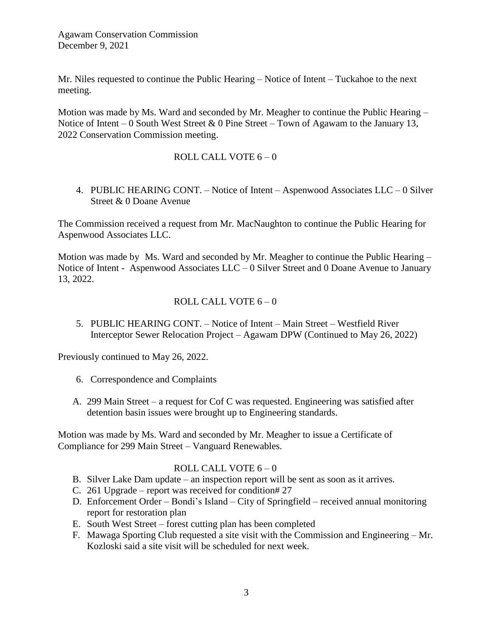Mr. Niles requested to continue the Public Hearing – Notice of Intent – Tuckahoe to the next meeting.

Motion was made by Ms. Ward and seconded by Mr. Meagher to continue the Public Hearing – Notice of Intent – 0 South West Street & 0 Pine Street – Town of Agawam to the January 13, 2022 Conservation Commission meeting.

# ROLL CALL VOTE  $6 - 0$

4. PUBLIC HEARING CONT. – Notice of Intent – Aspenwood Associates LLC – 0 Silver Street & 0 Doane Avenue

The Commission received a request from Mr. MacNaughton to continue the Public Hearing for Aspenwood Associates LLC.

Motion was made by Ms. Ward and seconded by Mr. Meagher to continue the Public Hearing – Notice of Intent - Aspenwood Associates LLC – 0 Silver Street and 0 Doane Avenue to January 13, 2022.

# ROLL CALL VOTE  $6 - 0$

5. PUBLIC HEARING CONT. – Notice of Intent – Main Street – Westfield River Interceptor Sewer Relocation Project – Agawam DPW (Continued to May 26, 2022)

Previously continued to May 26, 2022.

- 6. Correspondence and Complaints
- A. 299 Main Street a request for Cof C was requested. Engineering was satisfied after detention basin issues were brought up to Engineering standards.

Motion was made by Ms. Ward and seconded by Mr. Meagher to issue a Certificate of Compliance for 299 Main Street – Vanguard Renewables.

### ROLL CALL VOTE  $6 - 0$

- B. Silver Lake Dam update an inspection report will be sent as soon as it arrives.
- C. 261 Upgrade report was received for condition# 27
- D. Enforcement Order Bondi's Island City of Springfield received annual monitoring report for restoration plan
- E. South West Street forest cutting plan has been completed
- F. Mawaga Sporting Club requested a site visit with the Commission and Engineering Mr. Kozloski said a site visit will be scheduled for next week.